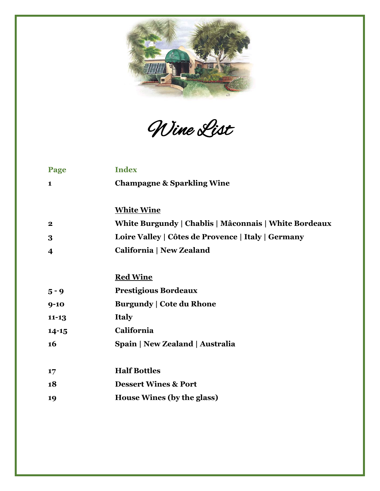

Wine List

| Page                    | <b>Index</b>                                          |
|-------------------------|-------------------------------------------------------|
| 1                       | <b>Champagne &amp; Sparkling Wine</b>                 |
|                         |                                                       |
|                         | <b>White Wine</b>                                     |
| $\bf{2}$                | White Burgundy   Chablis   Mâconnais   White Bordeaux |
| 3                       | Loire Valley   Côtes de Provence   Italy   Germany    |
| $\overline{\mathbf{4}}$ | <b>California   New Zealand</b>                       |
|                         |                                                       |
|                         | <b>Red Wine</b>                                       |
| $5 - 9$                 | <b>Prestigious Bordeaux</b>                           |
| $9 - 10$                | <b>Burgundy   Cote du Rhone</b>                       |
| $11 - 13$               | <b>Italy</b>                                          |
| $14 - 15$               | California                                            |
| 16                      | Spain   New Zealand   Australia                       |
|                         |                                                       |
| 17                      | <b>Half Bottles</b>                                   |
| 18                      | <b>Dessert Wines &amp; Port</b>                       |
| 19                      | House Wines (by the glass)                            |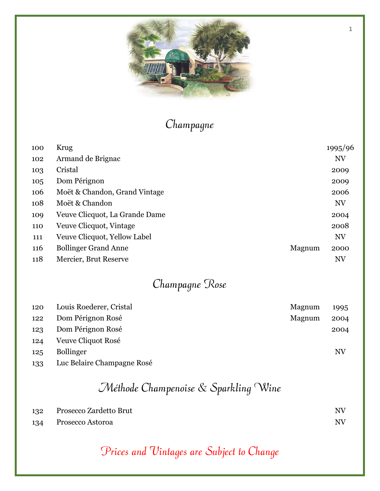

## Champagne

| 100 | Krug                           |        | 1995/96   |
|-----|--------------------------------|--------|-----------|
| 102 | Armand de Brignac              |        | <b>NV</b> |
| 103 | Cristal                        |        | 2009      |
| 105 | Dom Pérignon                   |        | 2009      |
| 106 | Moët & Chandon, Grand Vintage  |        | 2006      |
| 108 | Moët & Chandon                 |        | <b>NV</b> |
| 109 | Veuve Clicquot, La Grande Dame |        | 2004      |
| 110 | Veuve Clicquot, Vintage        |        | 2008      |
| 111 | Veuve Clicquot, Yellow Label   |        | <b>NV</b> |
| 116 | <b>Bollinger Grand Anne</b>    | Magnum | 2000      |
| 118 | Mercier, Brut Reserve          |        | <b>NV</b> |

# Champagne Rose

| 120 | Louis Roederer, Cristal    | Magnum | 1995 |
|-----|----------------------------|--------|------|
| 122 | Dom Pérignon Rosé          | Magnum | 2004 |
| 123 | Dom Pérignon Rosé          |        | 2004 |
| 124 | Veuve Cliquot Rosé         |        |      |
| 125 | <b>Bollinger</b>           |        | NV   |
| 133 | Luc Belaire Champagne Rosé |        |      |

## Méthode Champenoise & Sparkling Wine

| 132 | Prosecco Zardetto Brut | $N\!V$ |
|-----|------------------------|--------|
| 134 | Prosecco Astoroa       | N V    |

## Prices and Vintages are Subject to Change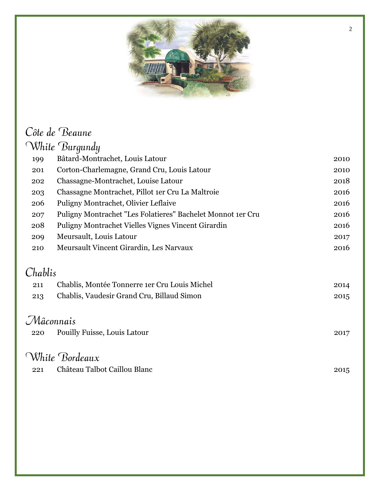

#### Côte de Beaune White Burgundy

|         | rritut Durgunuy                                             |      |
|---------|-------------------------------------------------------------|------|
| 199     | Bâtard-Montrachet, Louis Latour                             | 2010 |
| 201     | Corton-Charlemagne, Grand Cru, Louis Latour                 | 2010 |
| 202     | Chassagne-Montrachet, Louise Latour                         | 2018 |
| 203     | Chassagne Montrachet, Pillot 1er Cru La Maltroie            | 2016 |
| 206     | Puligny Montrachet, Olivier Leflaive                        | 2016 |
| 207     | Puligny Montrachet "Les Folatieres" Bachelet Monnot 1er Cru | 2016 |
| 208     | Puligny Montrachet Vielles Vignes Vincent Girardin          | 2016 |
| 209     | Meursault, Louis Latour                                     | 2017 |
| 210     | Meursault Vincent Girardin, Les Narvaux                     | 2016 |
|         |                                                             |      |
| Chablis |                                                             |      |
| 211     | Chablis, Montée Tonnerre 1er Cru Louis Michel               | 2014 |
| 213     | Chablis, Vaudesir Grand Cru, Billaud Simon                  | 2015 |
|         |                                                             |      |
|         | Mâconnais                                                   |      |
| 220     | <b>Pouilly Fuisse, Louis Latour</b>                         | 2017 |
|         |                                                             |      |
|         | White Bordeaux                                              |      |
| 221     | Château Talbot Caillou Blanc                                | 2015 |
|         |                                                             |      |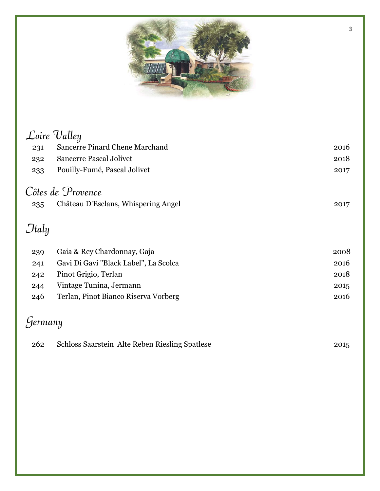

|         | Loire Valley                          |      |
|---------|---------------------------------------|------|
| 231     | Sancerre Pinard Chene Marchand        | 2016 |
| 232     | <b>Sancerre Pascal Jolivet</b>        | 2018 |
| 233     | Pouilly-Fumé, Pascal Jolivet          | 2017 |
|         | Côtes de Provence                     |      |
| 235     | Château D'Esclans, Whispering Angel   | 2017 |
| Jtaly   |                                       |      |
| 239     | Gaia & Rey Chardonnay, Gaja           | 2008 |
| 241     | Gavi Di Gavi "Black Label", La Scolca | 2016 |
| 242     | Pinot Grigio, Terlan                  | 2018 |
| 244     | Vintage Tunina, Jermann               | 2015 |
| 246     | Terlan, Pinot Bianco Riserva Vorberg  | 2016 |
| Yermany |                                       |      |

| 262 | Schloss Saarstein Alte Reben Riesling Spatlese | 2015 |
|-----|------------------------------------------------|------|
|-----|------------------------------------------------|------|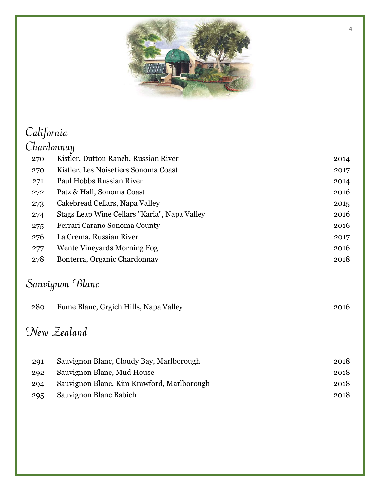

#### California Chardonnay Kistler, Dutton Ranch, Russian River 2014 Kistler, Les Noisetiers Sonoma Coast 2017 Paul Hobbs Russian River 2014 Patz & Hall, Sonoma Coast 2016 Cakebread Cellars, Napa Valley 2015 Stags Leap Wine Cellars "Karia", Napa Valley 2016 Ferrari Carano Sonoma County 2016 La Crema, Russian River 2017 Wente Vineyards Morning Fog 2016 Bonterra, Organic Chardonnay 2018 Sauvignon Blanc 280 Fume Blanc, Grgich Hills, Napa Valley 2016

### New Zealand

| 291 | Sauvignon Blanc, Cloudy Bay, Marlborough   | 2018 |
|-----|--------------------------------------------|------|
| 292 | Sauvignon Blanc, Mud House                 | 2018 |
| 294 | Sauvignon Blanc, Kim Krawford, Marlborough | 2018 |
| 295 | Sauvignon Blanc Babich                     | 2018 |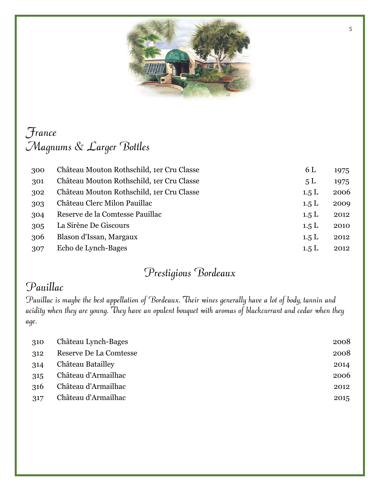

### France Magnums & Larger Bottles

| 300 | Château Mouton Rothschild, 1er Cru Classe | 6 L   | 1975 |
|-----|-------------------------------------------|-------|------|
| 301 | Château Mouton Rothschild, 1er Cru Classe | 5L    | 1975 |
| 302 | Château Mouton Rothschild, 1er Cru Classe | 1.5 L | 2006 |
| 303 | Château Clerc Milon Pauillac              | 1.5L  | 2009 |
| 304 | Reserve de la Comtesse Pauillac           | 1.5L  | 2012 |
| 305 | La Sirène De Giscours                     | 1.5L  | 2010 |
| 306 | Blason d'Issan, Margaux                   | 1.5L  | 2012 |
| 307 | Echo de Lynch-Bages                       | 1.5L  | 2012 |

#### Prestigious Bordeaux

#### Pauillac

Pauillac is maybe the best appellation of Bordeaux. Their wines generally have a lot of body, tannin and acidity when they are young. They have an opulent bouquet with aromas of blackcurrant and cedar when they age.

| 310 | Château Lynch-Bages    | 2008 |
|-----|------------------------|------|
| 312 | Reserve De La Comtesse | 2008 |
| 314 | Château Batailley      | 2014 |
| 315 | Château d'Armailhac    | 2006 |
| 316 | Château d'Armailhac    | 2012 |
| 317 | Château d'Armailhac    | 2015 |
|     |                        |      |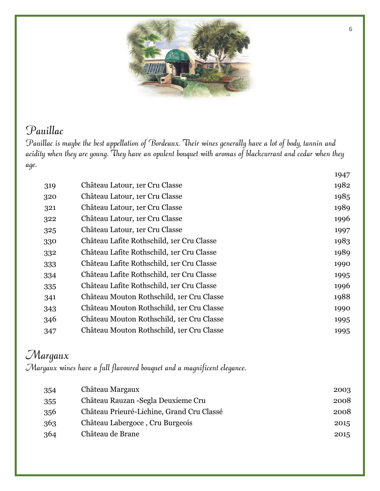

#### Pauillac

Pauillac is maybe the best appellation of Bordeaux. Their wines generally have a lot of body, tannin and acidity when they are young. They have an opulent bouquet with aromas of blackcurrant and cedar when they age.

|     |                                           | 1947 |
|-----|-------------------------------------------|------|
| 319 | Château Latour, 1er Cru Classe            | 1982 |
| 320 | Château Latour, 1er Cru Classe            | 1985 |
| 321 | Château Latour, 1er Cru Classe            | 1989 |
| 322 | Château Latour, 1er Cru Classe            | 1996 |
| 325 | Château Latour, 1er Cru Classe            | 1997 |
| 330 | Château Lafite Rothschild, 1er Cru Classe | 1983 |
| 332 | Château Lafite Rothschild, 1er Cru Classe | 1989 |
| 333 | Château Lafite Rothschild, 1er Cru Classe | 1990 |
| 334 | Château Lafite Rothschild, 1er Cru Classe | 1995 |
| 335 | Château Lafite Rothschild, 1er Cru Classe | 1996 |
| 341 | Château Mouton Rothschild, 1er Cru Classe | 1988 |
| 343 | Château Mouton Rothschild, 1er Cru Classe | 1990 |
| 346 | Château Mouton Rothschild, 1er Cru Classe | 1995 |
| 347 | Château Mouton Rothschild, 1er Cru Classe | 1995 |
|     |                                           |      |

## Margaux

Margaux wines have a full flavoured bouquet and a magnificent elegance.

| 354 | Château Margaux                           | 2003 |
|-----|-------------------------------------------|------|
| 355 | Château Rauzan - Segla Deuxieme Cru       | 2008 |
| 356 | Château Prieuré-Lichine, Grand Cru Classé | 2008 |
| 363 | Château Labergoce, Cru Burgeois           | 2015 |
| 364 | Château de Brane                          | 2015 |
|     |                                           |      |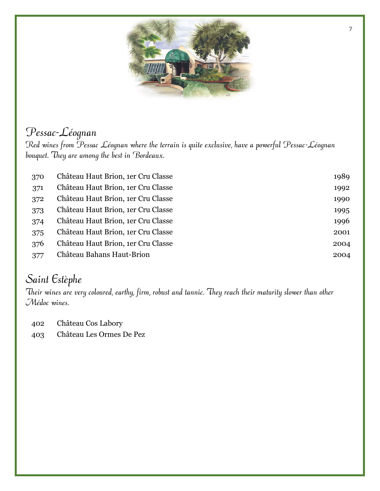

#### Pessac-Léognan

Red wines from Pessac Léognan where the terrain is quite exclusive, have a powerful Pessac-Léognan bouquet. They are among the best in Bordeaux.

| 370 | Château Haut Brion, 1er Cru Classe | 1989 |
|-----|------------------------------------|------|
| 371 | Château Haut Brion, 1er Cru Classe | 1992 |
| 372 | Château Haut Brion, 1er Cru Classe | 1990 |
| 373 | Château Haut Brion, 1er Cru Classe | 1995 |
| 374 | Château Haut Brion, 1er Cru Classe | 1996 |
| 375 | Château Haut Brion, 1er Cru Classe | 2001 |
| 376 | Château Haut Brion, 1er Cru Classe | 2004 |
| 377 | Château Bahans Haut-Brion          | 2004 |

### Saint Estèphe

Their wines are very coloured, earthy, firm, robust and tannic. They reach their maturity slower than other Médoc wines.

- Château Cos Labory
- Château Les Ormes De Pez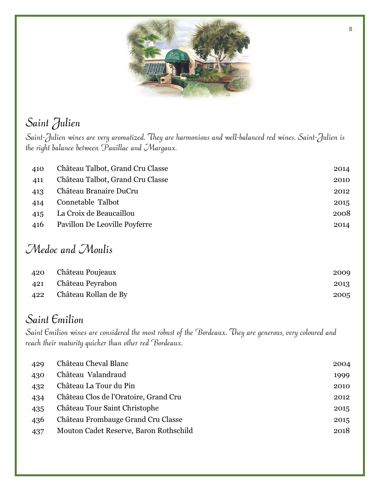

# Saint Julien

Saint-Julien wines are very aromatized. They are harmonious and well-balanced red wines. Saint-Julien is the right balance between Pauillac and Margaux.

| Château Talbot, Grand Cru Classe | 2014 |
|----------------------------------|------|
| Château Talbot, Grand Cru Classe | 2010 |
| Château Branaire DuCru           | 2012 |
| Connetable Talbot                | 2015 |
| La Croix de Beaucaillou          | 2008 |
| Pavillon De Leoville Poyferre    | 2014 |
|                                  |      |

#### Medoc and Moulis

| 420 Château Poujeaux     | 2009 |
|--------------------------|------|
| 421 Château Peyrabon     | 2013 |
| 422 Château Rollan de By | 2005 |

#### Saint Emilion

Saint Emilion wines are considered the most robust of the Bordeaux. They are generous, very coloured and reach their maturity quicker than other red Bordeaux.

| 429 | Château Cheval Blanc                   | 2004 |
|-----|----------------------------------------|------|
| 430 | Château Valandraud                     | 1999 |
| 432 | Château La Tour du Pin                 | 2010 |
| 434 | Château Clos de l'Oratoire, Grand Cru  | 2012 |
| 435 | Château Tour Saint Christophe          | 2015 |
| 436 | Château Frombauge Grand Cru Classe     | 2015 |
| 437 | Mouton Cadet Reserve, Baron Rothschild | 2018 |
|     |                                        |      |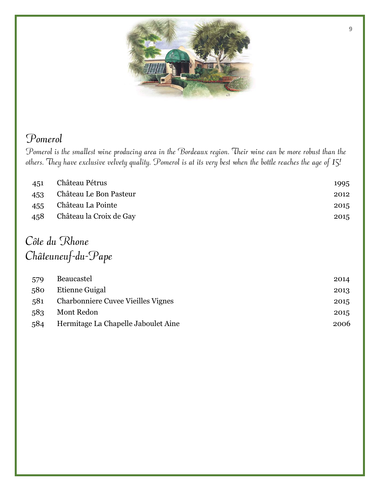

#### Pomerol

Pomerol is the smallest wine producing area in the Bordeaux region. Their wine can be more robust than the others. They have exclusive velvety quality. Pomerol is at its very best when the bottle reaches the age of 15!

| 451 | Château Pétrus          | 1995 |
|-----|-------------------------|------|
| 453 | Château Le Bon Pasteur  | 2012 |
| 455 | Château La Pointe       | 2015 |
| 458 | Château la Croix de Gay | 2015 |
|     |                         |      |
|     |                         |      |

#### Côte du Rhone Châteuneuf-du-Pape

| 579 | <b>Beaucastel</b>                         | 2014 |
|-----|-------------------------------------------|------|
| 580 | Etienne Guigal                            | 2013 |
| 581 | <b>Charbonniere Cuvee Vieilles Vignes</b> | 2015 |
| 583 | Mont Redon                                | 2015 |
| 584 | Hermitage La Chapelle Jaboulet Aine       | 2006 |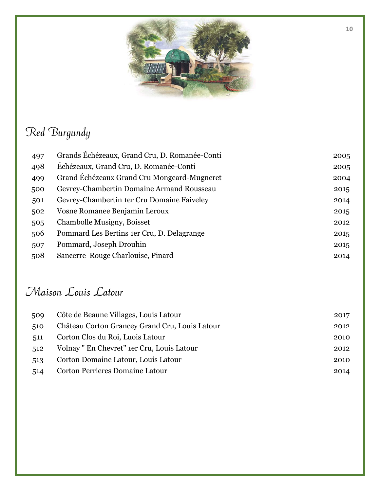

## Red Burgundy

| 497 | Grands Échézeaux, Grand Cru, D. Romanée-Conti | 2005 |
|-----|-----------------------------------------------|------|
| 498 | Échézeaux, Grand Cru, D. Romanée-Conti        | 2005 |
| 499 | Grand Échézeaux Grand Cru Mongeard-Mugneret   | 2004 |
| 500 | Gevrey-Chambertin Domaine Armand Rousseau     | 2015 |
| 501 | Gevrey-Chambertin 1er Cru Domaine Faiveley    | 2014 |
| 502 | Vosne Romanee Benjamin Leroux                 | 2015 |
| 505 | Chambolle Musigny, Boisset                    | 2012 |
| 506 | Pommard Les Bertins 1er Cru, D. Delagrange    | 2015 |
| 507 | Pommard, Joseph Drouhin                       | 2015 |
| 508 | Sancerre Rouge Charlouise, Pinard             | 2014 |

### Maison Louis Latour

| 509 | Côte de Beaune Villages, Louis Latour          | 2017 |
|-----|------------------------------------------------|------|
| 510 | Château Corton Grancey Grand Cru, Louis Latour | 2012 |
| 511 | Corton Clos du Roi, Luois Latour               | 2010 |
| 512 | Volnay" En Chevret" 1er Cru, Louis Latour      | 2012 |
| 513 | Corton Domaine Latour, Louis Latour            | 2010 |
| 514 | <b>Corton Perrieres Domaine Latour</b>         | 2014 |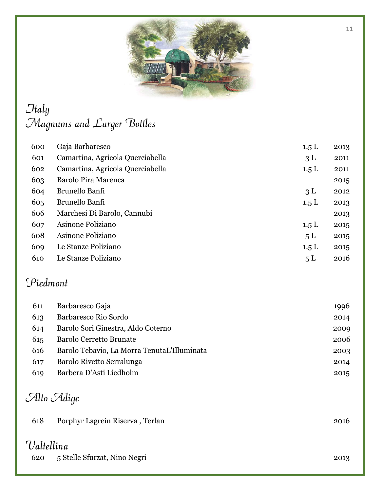

## *<u>Jtaly</u>* Magnums and Larger Bottles

| 600 | Gaja Barbaresco                  | 1.5L           | 2013 |
|-----|----------------------------------|----------------|------|
| 601 | Camartina, Agricola Querciabella | 3L             | 2011 |
| 602 | Camartina, Agricola Querciabella | 1.5L           | 2011 |
| 603 | Barolo Pira Marenca              |                | 2015 |
| 604 | Brunello Banfi                   | 3L             | 2012 |
| 605 | Brunello Banfi                   | 1.5 L          | 2013 |
| 606 | Marchesi Di Barolo, Cannubi      |                | 2013 |
| 607 | Asinone Poliziano                | 1.5 L          | 2015 |
| 608 | Asinone Poliziano                | 5L             | 2015 |
| 609 | Le Stanze Poliziano              | 1.5L           | 2015 |
| 610 | Le Stanze Poliziano              | 5 <sub>L</sub> | 2016 |

#### Piedmont

| 611 | Barbaresco Gaja                             | 1996 |
|-----|---------------------------------------------|------|
| 613 | Barbaresco Rio Sordo                        | 2014 |
| 614 | Barolo Sori Ginestra, Aldo Coterno          | 2009 |
| 615 | <b>Barolo Cerretto Brunate</b>              | 2006 |
| 616 | Barolo Tebavio, La Morra TenutaL'Illuminata | 2003 |
| 617 | Barolo Rivetto Serralunga                   | 2014 |
| 619 | Barbera D'Asti Liedholm                     | 2015 |

# Alto Adige

|                   | $\cup$ and $\cup$ angle         |      |
|-------------------|---------------------------------|------|
| 618               | Porphyr Lagrein Riserva, Terlan | 2016 |
| Valtellina<br>620 | 5 Stelle Sfurzat, Nino Negri    | 2013 |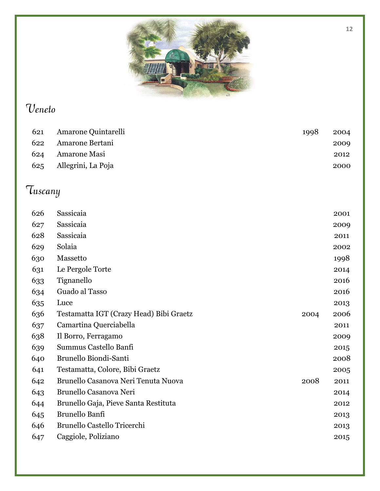

## Veneto

| 621 | Amarone Quintarelli | 1998 | 2004 |
|-----|---------------------|------|------|
| 622 | Amarone Bertani     |      | 2009 |
| 624 | Amarone Masi        |      | 2012 |
| 625 | Allegrini, La Poja  |      | 2000 |

# Tuscany

| 626 | Sassicaia                               |      | 2001 |
|-----|-----------------------------------------|------|------|
| 627 | Sassicaia                               |      | 2009 |
| 628 | Sassicaia                               |      | 2011 |
| 629 | Solaia                                  |      | 2002 |
| 630 | Massetto                                |      | 1998 |
| 631 | Le Pergole Torte                        |      | 2014 |
| 633 | Tignanello                              |      | 2016 |
| 634 | Guado al Tasso                          |      | 2016 |
| 635 | Luce                                    |      | 2013 |
| 636 | Testamatta IGT (Crazy Head) Bibi Graetz | 2004 | 2006 |
| 637 | Camartina Querciabella                  |      | 2011 |
| 638 | Il Borro, Ferragamo                     |      | 2009 |
| 639 | Summus Castello Banfi                   |      | 2015 |
| 640 | Brunello Biondi-Santi                   |      | 2008 |
| 641 | Testamatta, Colore, Bibi Graetz         |      | 2005 |
| 642 | Brunello Casanova Neri Tenuta Nuova     | 2008 | 2011 |
| 643 | Brunello Casanova Neri                  |      | 2014 |
| 644 | Brunello Gaja, Pieve Santa Restituta    |      | 2012 |
| 645 | Brunello Banfi                          |      | 2013 |
| 646 | Brunello Castello Tricerchi             |      | 2013 |
| 647 | Caggiole, Poliziano                     |      | 2015 |
|     |                                         |      |      |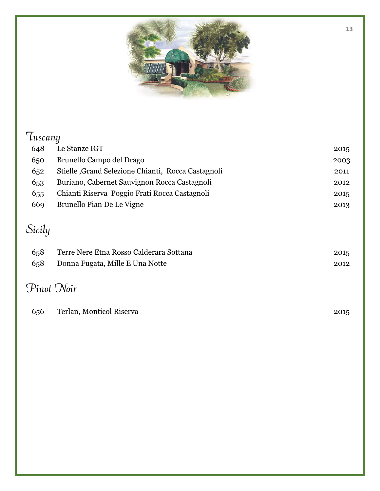

# Tuscany

| 648 | Le Stanze IGT                                       | 2015 |
|-----|-----------------------------------------------------|------|
| 650 | Brunello Campo del Drago                            | 2003 |
| 652 | Stielle , Grand Selezione Chianti, Rocca Castagnoli | 2011 |
| 653 | Buriano, Cabernet Sauvignon Rocca Castagnoli        | 2012 |
| 655 | Chianti Riserva Poggio Frati Rocca Castagnoli       | 2015 |
| 669 | Brunello Pian De Le Vigne                           | 2013 |
|     |                                                     |      |

# Sicily

| 658 | Terre Nere Etna Rosso Calderara Sottana | 2015 |
|-----|-----------------------------------------|------|
| 658 | Donna Fugata, Mille E Una Notte         | 2012 |

## Pinot Noir

| 656 | Terlan, Monticol Riserva | 2015 |
|-----|--------------------------|------|
|-----|--------------------------|------|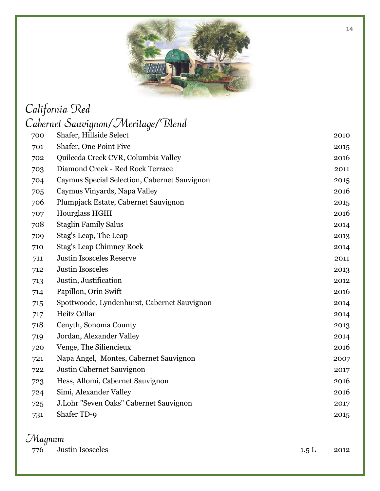

# California Red

|                     | Cabernet Sauvignon/Meritage/Blend            |      |
|---------------------|----------------------------------------------|------|
| 700                 | Shafer, Hillside Select                      | 2010 |
| 701                 | Shafer, One Point Five                       | 2015 |
| 702                 | Quilceda Creek CVR, Columbia Valley          | 2016 |
| 703                 | Diamond Creek - Red Rock Terrace             | 2011 |
| 704                 | Caymus Special Selection, Cabernet Sauvignon | 2015 |
| 705                 | Caymus Vinyards, Napa Valley                 | 2016 |
| 706                 | Plumpjack Estate, Cabernet Sauvignon         | 2015 |
| 707                 | Hourglass HGIII                              | 2016 |
| 708                 | <b>Staglin Family Salus</b>                  | 2014 |
| 709                 | Stag's Leap, The Leap                        | 2013 |
| 710                 | <b>Stag's Leap Chimney Rock</b>              | 2014 |
| 711                 | <b>Justin Isosceles Reserve</b>              | 2011 |
| 712                 | <b>Justin Isosceles</b>                      | 2013 |
| 713                 | Justin, Justification                        | 2012 |
| 714                 | Papillon, Orin Swift                         | 2016 |
| 715                 | Spottwoode, Lyndenhurst, Cabernet Sauvignon  | 2014 |
| 717                 | Heitz Cellar                                 | 2014 |
| 718                 | Cenyth, Sonoma County                        | 2013 |
| 719                 | Jordan, Alexander Valley                     | 2014 |
| 720                 | Venge, The Siliencieux                       | 2016 |
| 721                 | Napa Angel, Montes, Cabernet Sauvignon       | 2007 |
| 722                 | Justin Cabernet Sauvignon                    | 2017 |
| 723                 | Hess, Allomi, Cabernet Sauvignon             | 2016 |
| 724                 | Simi, Alexander Valley                       | 2016 |
| 725                 | J.Lohr "Seven Oaks" Cabernet Sauvignon       | 2017 |
| 731                 | Shafer TD-9                                  | 2015 |
| $\mathcal{M}$ agnum |                                              |      |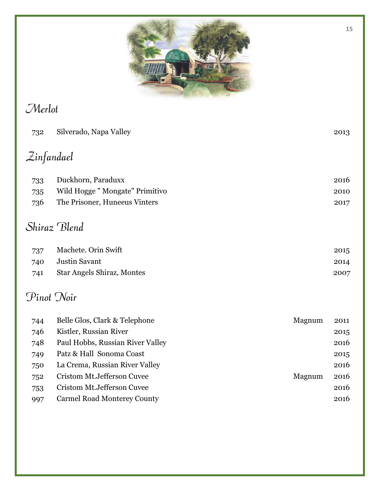

## Merlot

| 732        | Silverado, Napa Valley             |        | 2013 |
|------------|------------------------------------|--------|------|
| Zinfandael |                                    |        |      |
| 733        | Duckhorn, Paraduxx                 |        | 2016 |
| 735        | Wild Hogge "Mongate" Primitivo     |        | 2010 |
| 736        | The Prisoner, Huneeus Vinters      |        | 2017 |
|            | Shiraz Blend                       |        |      |
| 737        | Machete. Orin Swift                |        | 2015 |
| 740        | <b>Justin Savant</b>               |        | 2014 |
| 741        | <b>Star Angels Shiraz, Montes</b>  |        | 2007 |
| Pinot Noir |                                    |        |      |
| 744        | Belle Glos, Clark & Telephone      | Magnum | 2011 |
| 746        | Kistler, Russian River             |        | 2015 |
| 748        | Paul Hobbs, Russian River Valley   |        | 2016 |
| 749        | Patz & Hall Sonoma Coast           |        | 2015 |
| 750        | La Crema, Russian River Valley     |        | 2016 |
| 752        | Cristom Mt.Jefferson Cuvee         | Magnum | 2016 |
| 753        | Cristom Mt.Jefferson Cuvee         |        | 2016 |
| 997        | <b>Carmel Road Monterey County</b> |        | 2016 |
|            |                                    |        |      |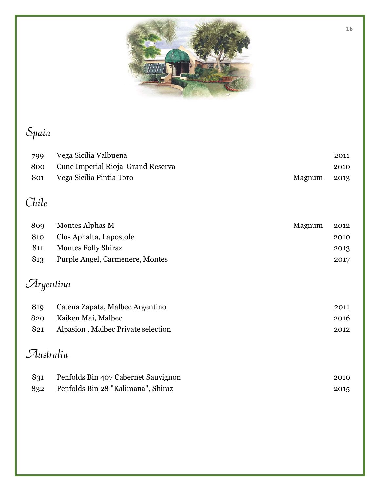

# Spain

| 799 | Vega Sicilia Valbuena                 |        | 2011 |
|-----|---------------------------------------|--------|------|
|     | 800 Cune Imperial Rioja Grand Reserva |        | 2010 |
| 801 | Vega Sicilia Pintia Toro              | Magnum | 2013 |

# Chile

| 809 | Montes Alphas M                 | Magnum | 2012 |
|-----|---------------------------------|--------|------|
| 810 | Clos Aphalta, Lapostole         |        | 2010 |
| 811 | <b>Montes Folly Shiraz</b>      |        | 2013 |
| 813 | Purple Angel, Carmenere, Montes |        | 2017 |

# Argentina

| 819 | Catena Zapata, Malbec Argentino    | 2011 |
|-----|------------------------------------|------|
| 820 | Kaiken Mai, Malbec                 | 2016 |
| 821 | Alpasion, Malbec Private selection | 2012 |

## Australia

| 831 | Penfolds Bin 407 Cabernet Sauvignon | 2010 |
|-----|-------------------------------------|------|
| 832 | Penfolds Bin 28 "Kalimana", Shiraz  | 2015 |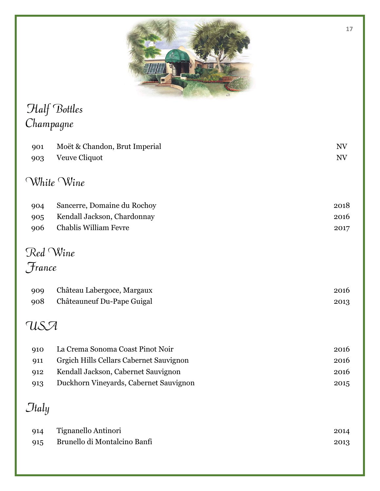

## Half Bottles Champagne

| 901    | Moët & Chandon, Brut Imperial           | NV                       |
|--------|-----------------------------------------|--------------------------|
| 903    | Veuve Cliquot                           | $\ensuremath{\text{NV}}$ |
|        | White Wine                              |                          |
| 904    | Sancerre, Domaine du Rochoy             | 2018                     |
| 905    | Kendall Jackson, Chardonnay             | 2016                     |
| 906    | <b>Chablis William Fevre</b>            | 2017                     |
|        | Red Wine                                |                          |
| France |                                         |                          |
|        |                                         |                          |
| 909    | Château Labergoce, Margaux              | 2016                     |
| 908    | Châteauneuf Du-Pape Guigal              | 2013                     |
| USA    |                                         |                          |
| 910    | La Crema Sonoma Coast Pinot Noir        | 2016                     |
| 911    | Grgich Hills Cellars Cabernet Sauvignon | 2016                     |
| 912    | Kendall Jackson, Cabernet Sauvignon     | 2016                     |
| 913    | Duckhorn Vineyards, Cabernet Sauvignon  | 2015                     |
| Jtaly  |                                         |                          |
| 914    | Tignanello Antinori                     | 2014                     |
| 915    | Brunello di Montalcino Banfi            | 2013                     |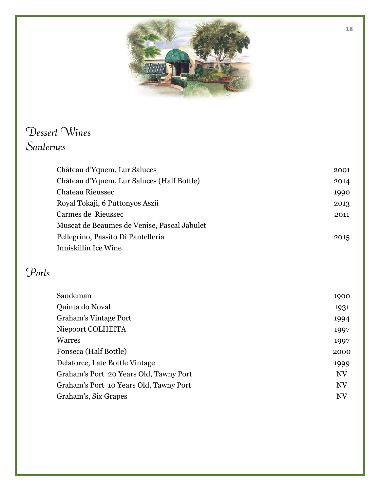

### Dessert Wines Sauternes

| Château d'Yquem, Lur Saluces                | 2001 |
|---------------------------------------------|------|
| Château d'Yquem, Lur Saluces (Half Bottle)  | 2014 |
| Chateau Rieussec                            | 1990 |
| Royal Tokaji, 6 Puttonyos Aszii             | 2013 |
| Carmes de Rieussec                          | 2011 |
| Muscat de Beaumes de Venise, Pascal Jabulet |      |
| Pellegrino, Passito Di Pantelleria          | 2015 |
| Inniskillin Ice Wine                        |      |

## Ports

| Sandeman                               | 1900      |
|----------------------------------------|-----------|
| Quinta do Noval                        | 1931      |
| <b>Graham's Vintage Port</b>           | 1994      |
| Niepoort COLHEITA                      | 1997      |
| Warres                                 | 1997      |
| Fonseca (Half Bottle)                  | 2000      |
| Delaforce, Late Bottle Vintage         | 1999      |
| Graham's Port 20 Years Old, Tawny Port | <b>NV</b> |
| Graham's Port 10 Years Old, Tawny Port | <b>NV</b> |
| Graham's, Six Grapes                   | NV        |